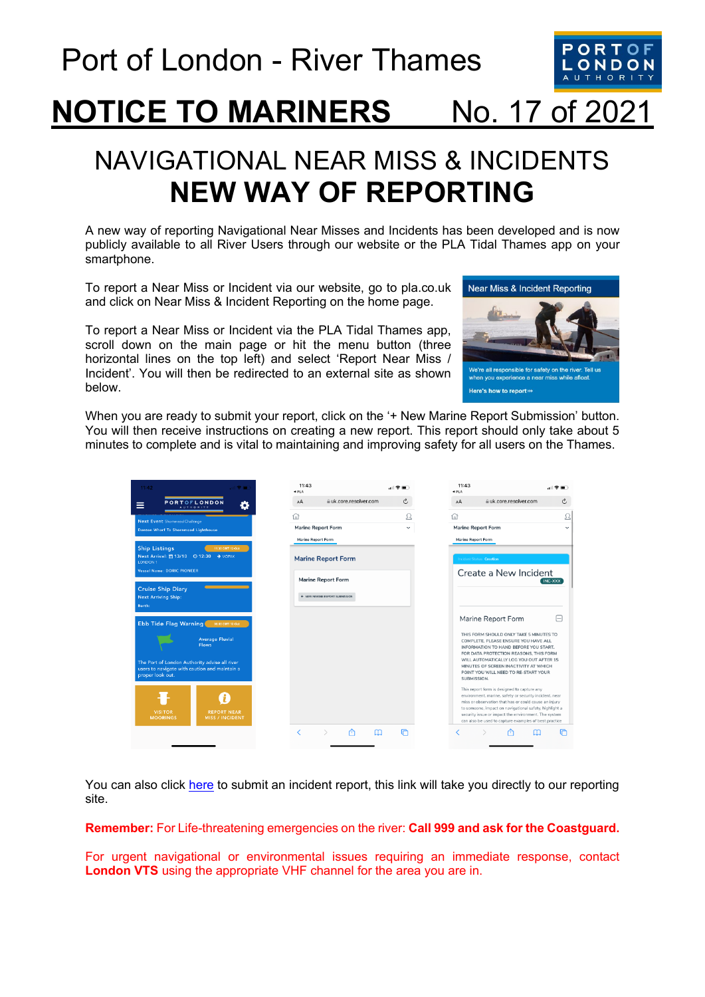

# **NOTICE TO MARINERS** No. 17 of 2021

## NAVIGATIONAL NEAR MISS & INCIDENTS **NEW WAY OF REPORTING**

A new way of reporting Navigational Near Misses and Incidents has been developed and is now publicly available to all River Users through our website or the PLA Tidal Thames app on your smartphone.

To report a Near Miss or Incident via our website, go to pla.co.uk and click on Near Miss & Incident Reporting on the home page.

To report a Near Miss or Incident via the PLA Tidal Thames app, scroll down on the main page or hit the menu button (three horizontal lines on the top left) and select 'Report Near Miss / Incident'. You will then be redirected to an external site as shown below.



When you are ready to submit your report, click on the '+ New Marine Report Submission' button. You will then receive instructions on creating a new report. This report should only take about 5 minutes to complete and is vital to maintaining and improving safety for all users on the Thames.

| 11:42<br><b>Contract</b>                                                                                                                 | 11:43<br>4PLA                                   |              | 11:43<br>4 PLA                                                                                                                                                                                                                                                                                                                            | $\blacksquare$    |
|------------------------------------------------------------------------------------------------------------------------------------------|-------------------------------------------------|--------------|-------------------------------------------------------------------------------------------------------------------------------------------------------------------------------------------------------------------------------------------------------------------------------------------------------------------------------------------|-------------------|
| <b>PORTOFLONDON</b><br>≡<br><b>AUTHORITY</b>                                                                                             | # uk.core.resolver.com<br>AA                    | Ċ            | # uk.core.resolver.com<br>AA                                                                                                                                                                                                                                                                                                              | $\mathcal{C}_{I}$ |
| Next Event Shommead Challenge                                                                                                            | ⋒                                               | Ω            | ⋒                                                                                                                                                                                                                                                                                                                                         | L                 |
| Denton Wharf To Shornmead Lighthouse                                                                                                     | <b>Marine Report Form</b><br>Marine Report Form | $\checkmark$ | <b>Marine Report Form</b><br>Marine Report Form                                                                                                                                                                                                                                                                                           | $\checkmark$      |
| <b>Ship Listings</b><br>11:30 GMT 13-Oct<br>Next Arrival: ■ 13/10 © 12:30 → VOPAK<br>LONDON 1<br><b>Vessel Name: DORIC PIONEER</b>       | <b>Marine Report Form</b>                       |              | Incident Status Creation<br>Create a New Incident                                                                                                                                                                                                                                                                                         |                   |
|                                                                                                                                          | <b>Marine Report Form</b>                       |              |                                                                                                                                                                                                                                                                                                                                           | INC-XXX           |
| <b>Cruise Ship Diary</b><br><b>Next Arriving Ship:</b><br>Borth:                                                                         | 4 NEW MARINE REPORT SUBMISSION                  |              |                                                                                                                                                                                                                                                                                                                                           |                   |
| Ebb Tide Flag Warning MOOD ONT 13-Oct                                                                                                    |                                                 |              | Marine Report Form                                                                                                                                                                                                                                                                                                                        | ⊟                 |
| <b>Average Fluvial</b><br><b>Flows</b><br>The Port of London Authority advise all river<br>users to navigate with caution and maintain a |                                                 |              | THIS FORM SHOULD ONLY TAKE 5 MINUTES TO<br>COMPLETE, PLEASE ENSURE YOU HAVE ALL<br>INFORMATION TO HAND BEFORE YOU START.<br>FOR DATA PROTECTION REASONS, THIS FORM<br>WILL AUTOMATICALLY LOG YOU OUT AFTER 15<br>MINUTES OF SCREEN INACTIVITY AT WHICH                                                                                    |                   |
| proper look out.                                                                                                                         |                                                 |              | POINT YOU WILL NEED TO RE-START YOUR<br>SUBMISSION.                                                                                                                                                                                                                                                                                       |                   |
| <b>VISITOR</b><br><b>REPORT NEAR</b><br><b>MOORINGS</b><br><b>MISS / INCIDENT</b>                                                        |                                                 |              | This report form is designed to capture any<br>environment, marine, safety or security incident, near<br>miss or observation that has or could cause an injury<br>to someone, impact on navigational safety, highlight a<br>security issue or impact the environment. The system<br>can also be used to capture examples of best practice |                   |
|                                                                                                                                          | m<br>✓<br>$\mathcal{L}$<br>m                    | ⋒            | rħ<br>╭                                                                                                                                                                                                                                                                                                                                   | l٣                |

You can also click [here](https://uk.core.resolver.com/#/applications/ce3fc520-d8af-4fc5-9c36-0dbbdfa1072f/activities/9324279e-f60e-459c-9c7a-dce40cf88e3b/) to submit an incident report, this link will take you directly to our reporting site.

#### **Remember:** For Life-threatening emergencies on the river: **Call 999 and ask for the Coastguard.**

For urgent navigational or environmental issues requiring an immediate response, contact **London VTS** using the appropriate VHF channel for the area you are in.